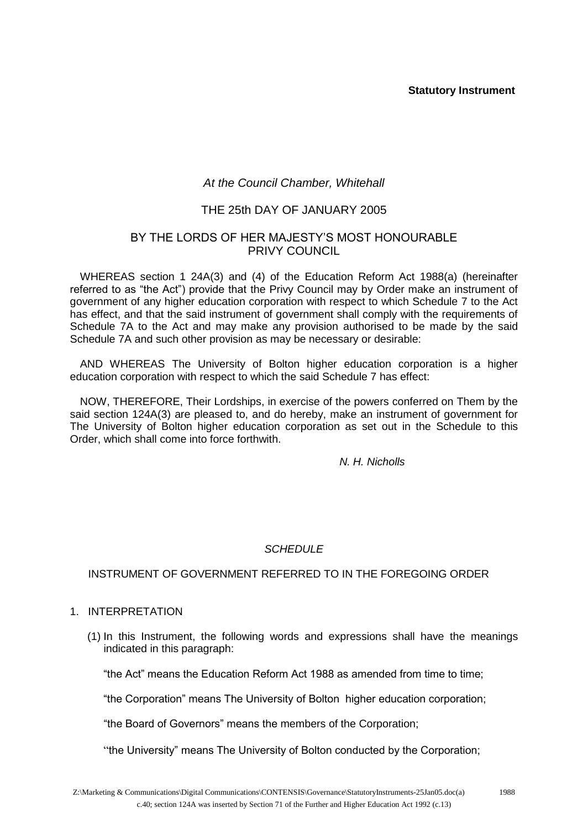### **Statutory Instrument**

# *At the Council Chamber, Whitehall*

## THE 25th DAY OF JANUARY 2005

## BY THE LORDS OF HER MAJESTY'S MOST HONOURABLE PRIVY COUNCIL

WHEREAS section 1 24A(3) and (4) of the Education Reform Act 1988(a) (hereinafter referred to as "the Act") provide that the Privy Council may by Order make an instrument of government of any higher education corporation with respect to which Schedule 7 to the Act has effect, and that the said instrument of government shall comply with the requirements of Schedule 7A to the Act and may make any provision authorised to be made by the said Schedule 7A and such other provision as may be necessary or desirable:

AND WHEREAS The University of Bolton higher education corporation is a higher education corporation with respect to which the said Schedule 7 has effect:

NOW, THEREFORE, Their Lordships, in exercise of the powers conferred on Them by the said section 124A(3) are pleased to, and do hereby, make an instrument of government for The University of Bolton higher education corporation as set out in the Schedule to this Order, which shall come into force forthwith.

*N. H. Nicholls*

#### *SCHEDULE*

#### INSTRUMENT OF GOVERNMENT REFERRED TO IN THE FOREGOING ORDER

#### 1. INTERPRETATION

(1) In this Instrument, the following words and expressions shall have the meanings indicated in this paragraph:

"the Act" means the Education Reform Act 1988 as amended from time to time;

"the Corporation" means The University of Bolton higher education corporation;

"the Board of Governors" means the members of the Corporation;

"the University" means The University of Bolton conducted by the Corporation;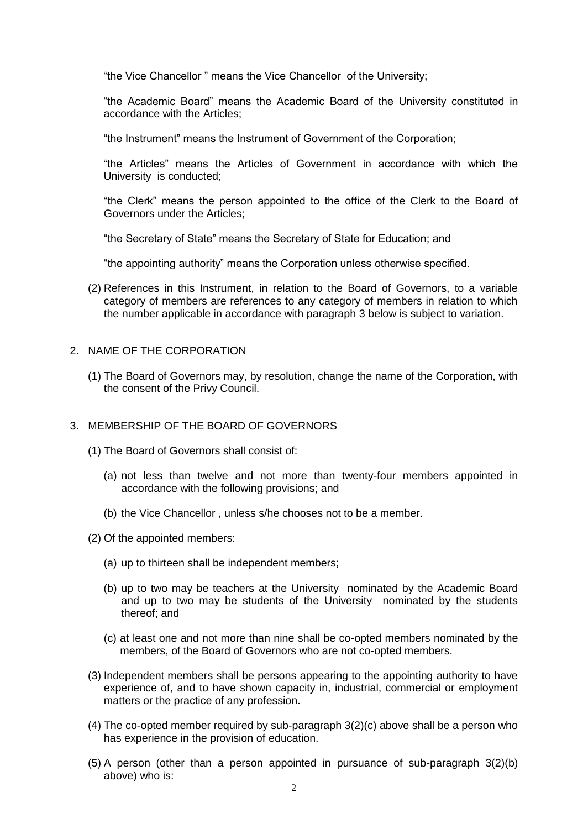"the Vice Chancellor " means the Vice Chancellor of the University;

"the Academic Board" means the Academic Board of the University constituted in accordance with the Articles;

"the Instrument" means the Instrument of Government of the Corporation;

"the Articles" means the Articles of Government in accordance with which the University is conducted;

"the Clerk" means the person appointed to the office of the Clerk to the Board of Governors under the Articles;

"the Secretary of State" means the Secretary of State for Education; and

"the appointing authority" means the Corporation unless otherwise specified.

- (2) References in this Instrument, in relation to the Board of Governors, to a variable category of members are references to any category of members in relation to which the number applicable in accordance with paragraph 3 below is subject to variation.
- 2. NAME OF THE CORPORATION
	- (1) The Board of Governors may, by resolution, change the name of the Corporation, with the consent of the Privy Council.

### 3. MEMBERSHIP OF THE BOARD OF GOVERNORS

- (1) The Board of Governors shall consist of:
	- (a) not less than twelve and not more than twenty-four members appointed in accordance with the following provisions; and
	- (b) the Vice Chancellor , unless s/he chooses not to be a member.
- (2) Of the appointed members:
	- (a) up to thirteen shall be independent members;
	- (b) up to two may be teachers at the University nominated by the Academic Board and up to two may be students of the University nominated by the students thereof; and
	- (c) at least one and not more than nine shall be co-opted members nominated by the members, of the Board of Governors who are not co-opted members.
- (3) Independent members shall be persons appearing to the appointing authority to have experience of, and to have shown capacity in, industrial, commercial or employment matters or the practice of any profession.
- (4) The co-opted member required by sub-paragraph 3(2)(c) above shall be a person who has experience in the provision of education.
- (5) A person (other than a person appointed in pursuance of sub-paragraph 3(2)(b) above) who is: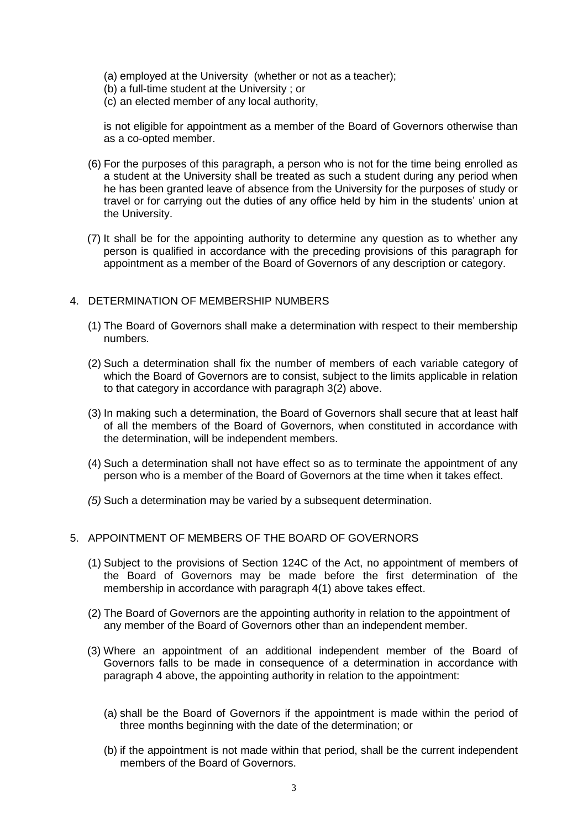(a) employed at the University (whether or not as a teacher);

- (b) a full-time student at the University ; or
- (c) an elected member of any local authority,

is not eligible for appointment as a member of the Board of Governors otherwise than as a co-opted member.

- (6) For the purposes of this paragraph, a person who is not for the time being enrolled as a student at the University shall be treated as such a student during any period when he has been granted leave of absence from the University for the purposes of study or travel or for carrying out the duties of any office held by him in the students' union at the University.
- (7) It shall be for the appointing authority to determine any question as to whether any person is qualified in accordance with the preceding provisions of this paragraph for appointment as a member of the Board of Governors of any description or category.

### 4. DETERMINATION OF MEMBERSHIP NUMBERS

- (1) The Board of Governors shall make a determination with respect to their membership numbers.
- (2) Such a determination shall fix the number of members of each variable category of which the Board of Governors are to consist, subject to the limits applicable in relation to that category in accordance with paragraph 3(2) above.
- (3) In making such a determination, the Board of Governors shall secure that at least half of all the members of the Board of Governors, when constituted in accordance with the determination, will be independent members.
- (4) Such a determination shall not have effect so as to terminate the appointment of any person who is a member of the Board of Governors at the time when it takes effect.
- *(5)* Such a determination may be varied by a subsequent determination.

### 5. APPOINTMENT OF MEMBERS OF THE BOARD OF GOVERNORS

- (1) Subject to the provisions of Section 124C of the Act, no appointment of members of the Board of Governors may be made before the first determination of the membership in accordance with paragraph 4(1) above takes effect.
- (2) The Board of Governors are the appointing authority in relation to the appointment of any member of the Board of Governors other than an independent member.
- (3) Where an appointment of an additional independent member of the Board of Governors falls to be made in consequence of a determination in accordance with paragraph 4 above, the appointing authority in relation to the appointment:
	- (a) shall be the Board of Governors if the appointment is made within the period of three months beginning with the date of the determination; or
	- (b) if the appointment is not made within that period, shall be the current independent members of the Board of Governors.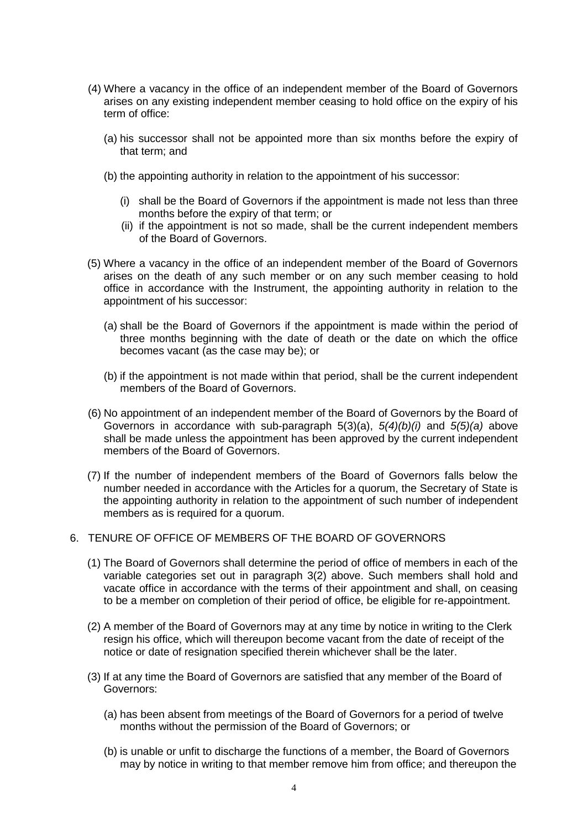- (4) Where a vacancy in the office of an independent member of the Board of Governors arises on any existing independent member ceasing to hold office on the expiry of his term of office:
	- (a) his successor shall not be appointed more than six months before the expiry of that term; and
	- (b) the appointing authority in relation to the appointment of his successor:
		- (i) shall be the Board of Governors if the appointment is made not less than three months before the expiry of that term; or
		- (ii) if the appointment is not so made, shall be the current independent members of the Board of Governors.
- (5) Where a vacancy in the office of an independent member of the Board of Governors arises on the death of any such member or on any such member ceasing to hold office in accordance with the Instrument, the appointing authority in relation to the appointment of his successor:
	- (a) shall be the Board of Governors if the appointment is made within the period of three months beginning with the date of death or the date on which the office becomes vacant (as the case may be); or
	- (b) if the appointment is not made within that period, shall be the current independent members of the Board of Governors.
- (6) No appointment of an independent member of the Board of Governors by the Board of Governors in accordance with sub-paragraph 5(3)(a), *5(4)(b)(i)* and *5(5)(a)* above shall be made unless the appointment has been approved by the current independent members of the Board of Governors.
- (7) If the number of independent members of the Board of Governors falls below the number needed in accordance with the Articles for a quorum, the Secretary of State is the appointing authority in relation to the appointment of such number of independent members as is required for a quorum.

### 6. TENURE OF OFFICE OF MEMBERS OF THE BOARD OF GOVERNORS

- (1) The Board of Governors shall determine the period of office of members in each of the variable categories set out in paragraph 3(2) above. Such members shall hold and vacate office in accordance with the terms of their appointment and shall, on ceasing to be a member on completion of their period of office, be eligible for re-appointment.
- (2) A member of the Board of Governors may at any time by notice in writing to the Clerk resign his office, which will thereupon become vacant from the date of receipt of the notice or date of resignation specified therein whichever shall be the later.
- (3) If at any time the Board of Governors are satisfied that any member of the Board of Governors:
	- (a) has been absent from meetings of the Board of Governors for a period of twelve months without the permission of the Board of Governors; or
	- (b) is unable or unfit to discharge the functions of a member, the Board of Governors may by notice in writing to that member remove him from office; and thereupon the